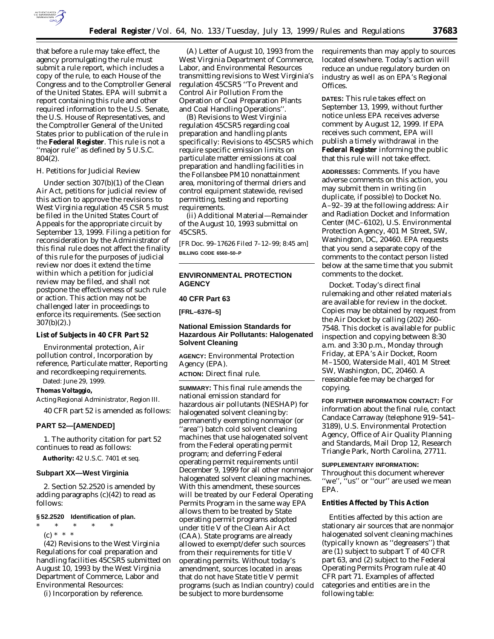

that before a rule may take effect, the agency promulgating the rule must submit a rule report, which includes a copy of the rule, to each House of the Congress and to the Comptroller General of the United States. EPA will submit a report containing this rule and other required information to the U.S. Senate, the U.S. House of Representatives, and the Comptroller General of the United States prior to publication of the rule in the **Federal Register**. This rule is not a ''major rule'' as defined by 5 U.S.C. 804(2).

### *H. Petitions for Judicial Review*

Under section 307(b)(1) of the Clean Air Act, petitions for judicial review of this action to approve the revisions to West Virginia regulation 45 CSR 5 must be filed in the United States Court of Appeals for the appropriate circuit by September 13, 1999. Filing a petition for reconsideration by the Administrator of this final rule does not affect the finality of this rule for the purposes of judicial review nor does it extend the time within which a petition for judicial review may be filed, and shall not postpone the effectiveness of such rule or action. This action may not be challenged later in proceedings to enforce its requirements. (See section 307(b)(2).)

### **List of Subjects in 40 CFR Part 52**

Environmental protection, Air pollution control, Incorporation by reference, Particulate matter, Reporting and recordkeeping requirements. Dated: June 29, 1999.

# **Thomas Voltaggio,**

*Acting Regional Administrator, Region III.* 40 CFR part 52 is amended as follows:

# **PART 52—[AMENDED]**

1. The authority citation for part 52 continues to read as follows:

**Authority:** 42 U.S.C. 7401 *et seq.*

### **Subpart XX—West Virginia**

2. Section 52.2520 is amended by adding paragraphs (c)(42) to read as follows:

#### **§ 52.2520 Identification of plan.**

\* \* \* \* \* (c) \* \* \*

(42) Revisions to the West Virginia Regulations for coal preparation and handling facilities 45CSR5 submitted on August 10, 1993 by the West Virginia Department of Commerce, Labor and Environmental Resources:

(i) Incorporation by reference.

(A) Letter of August 10, 1993 from the West Virginia Department of Commerce, Labor, and Environmental Resources transmitting revisions to West Virginia's regulation 45CSR5 ''To Prevent and Control Air Pollution From the Operation of Coal Preparation Plants and Coal Handling Operations''.

(B) Revisions to West Virginia regulation 45CSR5 regarding coal preparation and handling plants specifically: Revisions to 45CSR5 which require specific emission limits on particulate matter emissions at coal preparation and handling facilities in the Follansbee PM10 nonattainment area, monitoring of thermal driers and control equipment statewide, revised permitting, testing and reporting requirements.

(ii) Additional Material—Remainder of the August 10, 1993 submittal on 45CSR5.

[FR Doc. 99–17626 Filed 7–12–99; 8:45 am] **BILLING CODE 6560–50–P**

# **ENVIRONMENTAL PROTECTION AGENCY**

# **40 CFR Part 63**

**[FRL–6376–5]**

# **National Emission Standards for Hazardous Air Pollutants: Halogenated Solvent Cleaning**

**AGENCY:** Environmental Protection Agency (EPA).

**ACTION:** Direct final rule.

**SUMMARY:** This final rule amends the national emission standard for hazardous air pollutants (NESHAP) for halogenated solvent cleaning by: permanently exempting nonmajor (or ''area'') batch cold solvent cleaning machines that use halogenated solvent from the Federal operating permit program; and deferring Federal operating permit requirements until December 9, 1999 for all other nonmajor halogenated solvent cleaning machines. With this amendment, these sources will be treated by our Federal Operating Permits Program in the same way EPA allows them to be treated by State operating permit programs adopted under title V of the Clean Air Act (CAA). State programs are already allowed to exempt/defer such sources from their requirements for title V operating permits. Without today's amendment, sources located in areas that do not have State title V permit programs (such as Indian country) could be subject to more burdensome

requirements than may apply to sources located elsewhere. Today's action will reduce an undue regulatory burden on industry as well as on EPA's Regional Offices.

**DATES:** This rule takes effect on September 13, 1999, without further notice unless EPA receives adverse comment by August 12, 1999. If EPA receives such comment, EPA will publish a timely withdrawal in the **Federal Register** informing the public that this rule will not take effect.

**ADDRESSES:** *Comments.* If you have adverse comments on this action, you may submit them in writing (in duplicate, if possible) to Docket No. A–92–39 at the following address: Air and Radiation Docket and Information Center (MC–6102), U.S. Environmental Protection Agency, 401 M Street, SW, Washington, DC, 20460. EPA requests that you send a separate copy of the comments to the contact person listed below at the same time that you submit comments to the docket.

*Docket.* Today's direct final rulemaking and other related materials are available for review in the docket. Copies may be obtained by request from the Air Docket by calling (202) 260– 7548. This docket is available for public inspection and copying between 8:30 a.m. and 3:30 p.m., Monday through Friday, at EPA's Air Docket, Room M–1500, Waterside Mall, 401 M Street SW, Washington, DC, 20460. A reasonable fee may be charged for copying.

**FOR FURTHER INFORMATION CONTACT:** For information about the final rule, contact Candace Carraway (telephone 919–541– 3189), U.S. Environmental Protection Agency, Office of Air Quality Planning and Standards, Mail Drop 12, Research Triangle Park, North Carolina, 27711.

### **SUPPLEMENTARY INFORMATION:**

Throughout this document wherever ''we'', ''us'' or ''our'' are used we mean EPA.

### **Entities Affected by This Action**

Entities affected by this action are stationary air sources that are nonmajor halogenated solvent cleaning machines (typically known as ''degreasers'') that are (1) subject to subpart T of 40 CFR part 63, and (2) subject to the Federal Operating Permits Program rule at 40 CFR part 71. Examples of affected categories and entities are in the following table: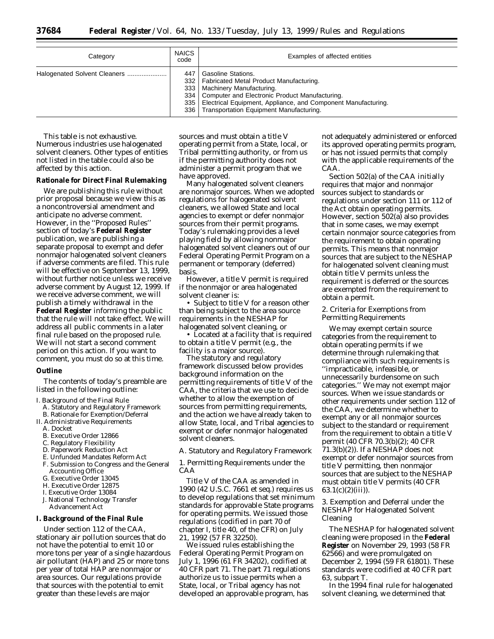| Federal |  |
|---------|--|
|---------|--|

| Category                     | <b>NAICS</b><br>code | Examples of affected entities                                                                                                                                                                                                                                                         |
|------------------------------|----------------------|---------------------------------------------------------------------------------------------------------------------------------------------------------------------------------------------------------------------------------------------------------------------------------------|
| Halogenated Solvent Cleaners | 447                  | Gasoline Stations.<br>332   Fabricated Metal Product Manufacturing.<br>333   Machinery Manufacturing.<br>334   Computer and Electronic Product Manufacturing.<br>335   Electrical Equipment, Appliance, and Component Manufacturing.<br>336   Transportation Equipment Manufacturing. |

This table is not exhaustive. Numerous industries use halogenated solvent cleaners. Other types of entities not listed in the table could also be affected by this action.

### **Rationale for Direct Final Rulemaking**

We are publishing this rule without prior proposal because we view this as a noncontroversial amendment and anticipate no adverse comment. However, in the ''Proposed Rules'' section of today's **Federal Register** publication, we are publishing a separate proposal to exempt and defer nonmajor halogenated solvent cleaners if adverse comments are filed. This rule will be effective on September 13, 1999, without further notice unless we receive adverse comment by August 12, 1999. If we receive adverse comment, we will publish a timely withdrawal in the **Federal Register** informing the public that the rule will not take effect. We will address all public comments in a later final rule based on the proposed rule. We will not start a second comment period on this action. If you want to comment, you must do so at this time.

### **Outline**

The contents of today's preamble are listed in the following outline:

I. Background of the Final Rule

- A. Statutory and Regulatory Framework B. Rationale for Exemption/Deferral
- II. Administrative Requirements
	- A. Docket
	- B. Executive Order 12866
	- C. Regulatory Flexibility
	- D. Paperwork Reduction Act
	- E. Unfunded Mandates Reform Act
	- F. Submission to Congress and the General Accounting Office
	- G. Executive Order 13045
	- H. Executive Order 12875
	- I. Executive Order 13084
	- J. National Technology Transfer Advancement Act

### **I. Background of the Final Rule**

Under section 112 of the CAA, stationary air pollution sources that do not have the potential to emit 10 or more tons per year of a single hazardous air pollutant (HAP) and 25 or more tons per year of total HAP are nonmajor or area sources. Our regulations provide that sources with the potential to emit greater than these levels are major

sources and must obtain a title V operating permit from a State, local, or Tribal permitting authority, or from us if the permitting authority does not administer a permit program that we have approved.

Many halogenated solvent cleaners are nonmajor sources. When we adopted regulations for halogenated solvent cleaners, we allowed State and local agencies to exempt or defer nonmajor sources from their permit programs. Today's rulemaking provides a level playing field by allowing nonmajor halogenated solvent cleaners out of our Federal Operating Permit Program on a permanent or temporary (deferred) basis.

However, a title V permit is required if the nonmajor or area halogenated solvent cleaner is:

• Subject to title V for a reason other than being subject to the area source requirements in the NESHAP for halogenated solvent cleaning, or

• Located at a facility that is required to obtain a title V permit (e.g., the facility is a major source).

The statutory and regulatory framework discussed below provides background information on the permitting requirements of title V of the CAA, the criteria that we use to decide whether to allow the exemption of sources from permitting requirements, and the action we have already taken to allow State, local, and Tribal agencies to exempt or defer nonmajor halogenated solvent cleaners.

# *A. Statutory and Regulatory Framework*

1. Permitting Requirements under the CAA

Title V of the CAA as amended in 1990 (42 U.S.C. 7661 et seq.) requires us to develop regulations that set minimum standards for approvable State programs for operating permits. We issued those regulations (codified in part 70 of chapter I, title 40, of the CFR) on July 21, 1992 (57 FR 32250).

We issued rules establishing the Federal Operating Permit Program on July 1, 1996 (61 FR 34202), codified at 40 CFR part 71. The part 71 regulations authorize us to issue permits when a State, local, or Tribal agency has not developed an approvable program, has

not adequately administered or enforced its approved operating permits program, or has not issued permits that comply with the applicable requirements of the CAA.

Section 502(a) of the CAA initially requires that major and nonmajor sources subject to standards or regulations under section 111 or 112 of the Act obtain operating permits. However, section 502(a) also provides that in some cases, we may exempt certain nonmajor source categories from the requirement to obtain operating permits. This means that nonmajor sources that are subject to the NESHAP for halogenated solvent cleaning must obtain title V permits unless the requirement is deferred or the sources are exempted from the requirement to obtain a permit.

### 2. Criteria for Exemptions from Permitting Requirements

We may exempt certain source categories from the requirement to obtain operating permits if we determine through rulemaking that compliance with such requirements is ''impracticable, infeasible, or unnecessarily burdensome on such categories.'' We may not exempt major sources. When we issue standards or other requirements under section 112 of the CAA, we determine whether to exempt any or all nonmajor sources subject to the standard or requirement from the requirement to obtain a title V permit (40 CFR 70.3(b)(2); 40 CFR 71.3(b)(2)). If a NESHAP does not exempt or defer nonmajor sources from title V permitting, then nonmajor sources that are subject to the NESHAP must obtain title V permits (40 CFR  $63.1(c)(2)(iii)$ .

3. Exemption and Deferral under the NESHAP for Halogenated Solvent Cleaning

The NESHAP for halogenated solvent cleaning were proposed in the **Federal Register** on November 29, 1993 (58 FR 62566) and were promulgated on December 2, 1994 (59 FR 61801). These standards were codified at 40 CFR part 63, subpart T.

In the 1994 final rule for halogenated solvent cleaning, we determined that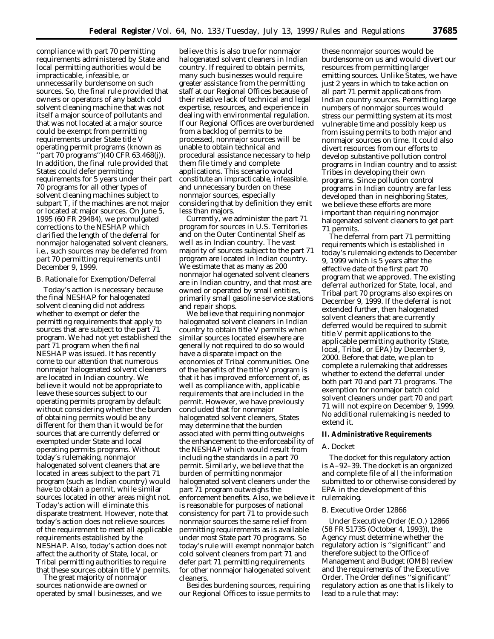compliance with part 70 permitting requirements administered by State and local permitting authorities would be impracticable, infeasible, or unnecessarily burdensome on such sources. So, the final rule provided that owners or operators of any batch cold solvent cleaning machine that was not itself a major source of pollutants and that was not located at a major source could be exempt from permitting requirements under State title V operating permit programs (known as ''part 70 programs'')(40 CFR 63.468(j)). In addition, the final rule provided that States could defer permitting requirements for 5 years under their part 70 programs for all other types of solvent cleaning machines subject to subpart T, if the machines are not major or located at major sources. On June 5, 1995 (60 FR 29484), we promulgated corrections to the NESHAP which clarified the length of the deferral for nonmajor halogenated solvent cleaners, i.e., such sources may be deferred from part 70 permitting requirements until December 9, 1999.

### *B. Rationale for Exemption/Deferral*

Today's action is necessary because the final NESHAP for halogenated solvent cleaning did not address whether to exempt or defer the permitting requirements that apply to sources that are subject to the part 71 program. We had not yet established the part 71 program when the final NESHAP was issued. It has recently come to our attention that numerous nonmajor halogenated solvent cleaners are located in Indian country. We believe it would not be appropriate to leave these sources subject to our operating permits program by default without considering whether the burden of obtaining permits would be any different for them than it would be for sources that are currently deferred or exempted under State and local operating permits programs. Without today's rulemaking, nonmajor halogenated solvent cleaners that are located in areas subject to the part 71 program (such as Indian country) would have to obtain a permit, while similar sources located in other areas might not. Today's action will eliminate this disparate treatment. However, note that today's action does not relieve sources of the requirement to meet all applicable requirements established by the NESHAP. Also, today's action does not affect the authority of State, local, or Tribal permitting authorities to require that these sources obtain title V permits.

The great majority of nonmajor sources nationwide are owned or operated by small businesses, and we

believe this is also true for nonmajor halogenated solvent cleaners in Indian country. If required to obtain permits, many such businesses would require greater assistance from the permitting staff at our Regional Offices because of their relative lack of technical and legal expertise, resources, and experience in dealing with environmental regulation. If our Regional Offices are overburdened from a backlog of permits to be processed, nonmajor sources will be unable to obtain technical and procedural assistance necessary to help them file timely and complete applications. This scenario would constitute an impracticable, infeasible, and unnecessary burden on these nonmajor sources, especially considering that by definition they emit less than majors.

Currently, we administer the part 71 program for sources in U.S. Territories and on the Outer Continental Shelf as well as in Indian country. The vast majority of sources subject to the part 71 program are located in Indian country. We estimate that as many as 200 nonmajor halogenated solvent cleaners are in Indian country, and that most are owned or operated by small entities, primarily small gasoline service stations and repair shops.

We believe that requiring nonmajor halogenated solvent cleaners in Indian country to obtain title V permits when similar sources located elsewhere are generally not required to do so would have a disparate impact on the economies of Tribal communities. One of the benefits of the title V program is that it has improved enforcement of, as well as compliance with, applicable requirements that are included in the permit. However, we have previously concluded that for nonmajor halogenated solvent cleaners, States may determine that the burden associated with permitting outweighs the enhancement to the enforceability of the NESHAP which would result from including the standards in a part 70 permit. Similarly, we believe that the burden of permitting nonmajor halogenated solvent cleaners under the part 71 program outweighs the enforcement benefits. Also, we believe it is reasonable for purposes of national consistency for part 71 to provide such nonmajor sources the same relief from permitting requirements as is available under most State part 70 programs. So today's rule will exempt nonmajor batch cold solvent cleaners from part 71 and defer part 71 permitting requirements for other nonmajor halogenated solvent cleaners.

Besides burdening sources, requiring our Regional Offices to issue permits to

these nonmajor sources would be burdensome on us and would divert our resources from permitting larger emitting sources. Unlike States, we have just 2 years in which to take action on all part 71 permit applications from Indian country sources. Permitting large numbers of nonmajor sources would stress our permitting system at its most vulnerable time and possibly keep us from issuing permits to both major and nonmajor sources on time. It could also divert resources from our efforts to develop substantive pollution control programs in Indian country and to assist Tribes in developing their own programs. Since pollution control programs in Indian country are far less developed than in neighboring States, we believe these efforts are more important than requiring nonmajor halogenated solvent cleaners to get part 71 permits.

The deferral from part 71 permitting requirements which is established in today's rulemaking extends to December 9, 1999 which is 5 years after the effective date of the first part 70 program that we approved. The existing deferral authorized for State, local, and Tribal part 70 programs also expires on December 9, 1999. If the deferral is not extended further, then halogenated solvent cleaners that are currently deferred would be required to submit title V permit applications to the applicable permitting authority (State, local, Tribal, or EPA) by December 9, 2000. Before that date, we plan to complete a rulemaking that addresses whether to extend the deferral under both part 70 and part 71 programs. The exemption for nonmajor batch cold solvent cleaners under part 70 and part 71 will not expire on December 9, 1999. No additional rulemaking is needed to extend it.

### **II. Administrative Requirements**

#### *A. Docket*

The docket for this regulatory action is A–92–39. The docket is an organized and complete file of all the information submitted to or otherwise considered by EPA in the development of this rulemaking.

#### *B. Executive Order 12866*

Under Executive Order (E.O.) 12866 (58 FR 51735 (October 4, 1993)), the Agency must determine whether the regulatory action is ''significant'' and therefore subject to the Office of Management and Budget (OMB) review and the requirements of the Executive Order. The Order defines ''significant'' regulatory action as one that is likely to lead to a rule that may: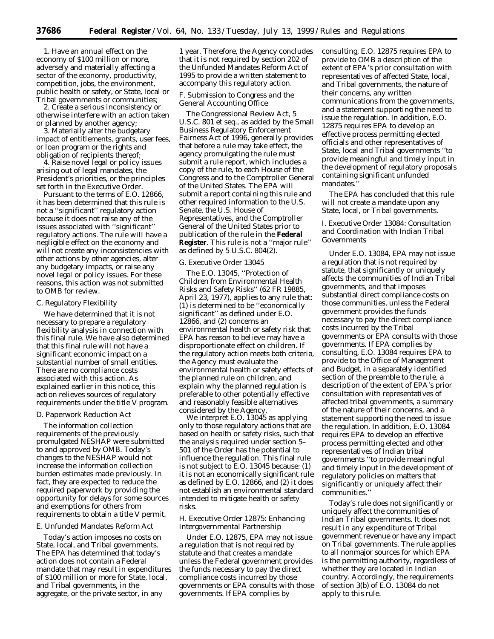1. Have an annual effect on the economy of \$100 million or more, adversely and materially affecting a sector of the economy, productivity, competition, jobs, the environment, public health or safety, or State, local or Tribal governments or communities;

2. Create a serious inconsistency or otherwise interfere with an action taken or planned by another agency;

3. Materially alter the budgetary impact of entitlements, grants, user fees, or loan program or the rights and obligation of recipients thereof;

4. Raise novel legal or policy issues arising out of legal mandates, the President's priorities, or the principles set forth in the Executive Order.

Pursuant to the terms of E.O. 12866, it has been determined that this rule is not a ''significant'' regulatory action because it does not raise any of the issues associated with ''significant'' regulatory actions. The rule will have a negligible effect on the economy and will not create any inconsistencies with other actions by other agencies, alter any budgetary impacts, or raise any novel legal or policy issues. For these reasons, this action was not submitted to OMB for review.

# *C. Regulatory Flexibility*

We have determined that it is not necessary to prepare a regulatory flexibility analysis in connection with this final rule. We have also determined that this final rule will not have a significant economic impact on a substantial number of small entities. There are no compliance costs associated with this action. As explained earlier in this notice, this action relieves sources of regulatory requirements under the title V program.

#### *D. Paperwork Reduction Act*

The information collection requirements of the previously promulgated NESHAP were submitted to and approved by OMB. Today's changes to the NESHAP would not increase the information collection burden estimates made previously. In fact, they are expected to reduce the required paperwork by providing the opportunity for delays for some sources and exemptions for others from requirements to obtain a title V permit.

### *E. Unfunded Mandates Reform Act*

Today's action imposes no costs on State, local, and Tribal governments. The EPA has determined that today's action does not contain a Federal mandate that may result in expenditures of \$100 million or more for State, local, and Tribal governments, in the aggregate, or the private sector, in any

1 year. Therefore, the Agency concludes that it is not required by section 202 of the Unfunded Mandates Reform Act of 1995 to provide a written statement to accompany this regulatory action.

### *F. Submission to Congress and the General Accounting Office*

The Congressional Review Act, 5 U.S.C. 801 *et seq.*, as added by the Small Business Regulatory Enforcement Fairness Act of 1996, generally provides that before a rule may take effect, the agency promulgating the rule must submit a rule report, which includes a copy of the rule, to each House of the Congress and to the Comptroller General of the United States. The EPA will submit a report containing this rule and other required information to the U.S. Senate, the U.S. House of Representatives, and the Comptroller General of the United States prior to publication of the rule in the **Federal Register**. This rule is not a ''major rule'' as defined by 5 U.S.C. 804(2).

# *G. Executive Order 13045*

The E.O. 13045, ''Protection of Children from Environmental Health Risks and Safety Risks'' (62 FR 19885, April 23, 1977), applies to any rule that: (1) is determined to be ''economically significant'' as defined under E.O. 12866, and (2) concerns an environmental health or safety risk that EPA has reason to believe may have a disproportionate effect on children. If the regulatory action meets both criteria, the Agency must evaluate the environmental health or safety effects of the planned rule on children, and explain why the planned regulation is preferable to other potentially effective and reasonably feasible alternatives considered by the Agency.

We interpret E.O. 13045 as applying only to those regulatory actions that are based on health or safety risks, such that the analysis required under section 5– 501 of the Order has the potential to influence the regulation. This final rule is not subject to E.O. 13045 because: (1) it is not an economically significant rule as defined by E.O. 12866, and (2) it does not establish an environmental standard intended to mitigate health or safety risks.

# *H. Executive Order 12875: Enhancing Intergovernmental Partnership*

Under E.O. 12875, EPA may not issue a regulation that is not required by statute and that creates a mandate unless the Federal government provides the funds necessary to pay the direct compliance costs incurred by those governments or EPA consults with those governments. If EPA complies by

consulting, E.O. 12875 requires EPA to provide to OMB a description of the extent of EPA's prior consultation with representatives of affected State, local, and Tribal governments, the nature of their concerns, any written communications from the governments, and a statement supporting the need to issue the regulation. In addition, E.O. 12875 requires EPA to develop an effective process permitting elected officials and other representatives of State, local and Tribal governments ''to provide meaningful and timely input in the development of regulatory proposals containing significant unfunded mandates.''

The EPA has concluded that this rule will not create a mandate upon any State, local, or Tribal governments.

# *I. Executive Order 13084: Consultation and Coordination with Indian Tribal Governments*

Under E.O. 13084, EPA may not issue a regulation that is not required by statute, that significantly or uniquely affects the communities of Indian Tribal governments, and that imposes substantial direct compliance costs on those communities, unless the Federal government provides the funds necessary to pay the direct compliance costs incurred by the Tribal governments or EPA consults with those governments. If EPA complies by consulting, E.O. 13084 requires EPA to provide to the Office of Management and Budget, in a separately identified section of the preamble to the rule, a description of the extent of EPA's prior consultation with representatives of affected tribal governments, a summary of the nature of their concerns, and a statement supporting the need to issue the regulation. In addition, E.O. 13084 requires EPA to develop an effective process permitting elected and other representatives of Indian tribal governments ''to provide meaningful and timely input in the development of regulatory policies on matters that significantly or uniquely affect their communities.''

Today's rule does not significantly or uniquely affect the communities of Indian Tribal governments. It does not result in any expenditure of Tribal government revenue or have any impact on Tribal governments. The rule applies to all nonmajor sources for which EPA is the permitting authority, regardless of whether they are located in Indian country. Accordingly, the requirements of section 3(b) of E.O. 13084 do not apply to this rule.